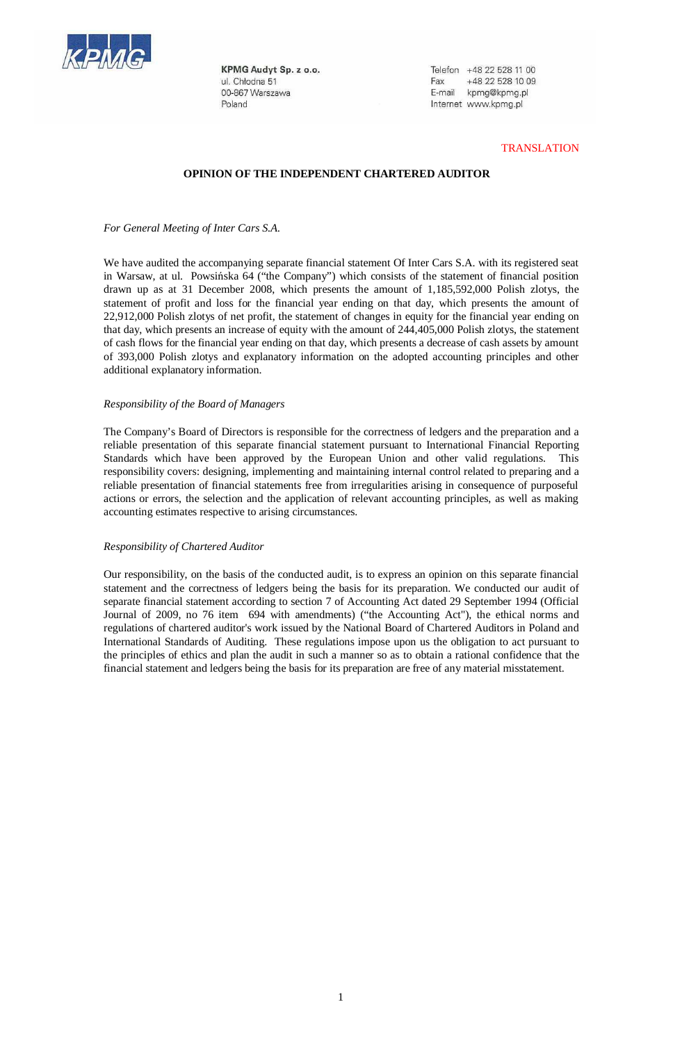

KPMG Audyt Sp. z o.o. ul. Chłodna 51 00-867 Warszawa Poland

Telefon +48 22 528 11 00 Fax +48 22 528 10 09 E-mail kpmg@kpmg.pl Internet www.kpmg.pl

### **TRANSLATION**

# **OPINION OF THE INDEPENDENT CHARTERED AUDITOR**

*For General Meeting of Inter Cars S.A.* 

We have audited the accompanying separate financial statement Of Inter Cars S.A. with its registered seat in Warsaw, at ul. Powsińska 64 ("the Company") which consists of the statement of financial position drawn up as at 31 December 2008, which presents the amount of 1,185,592,000 Polish zlotys, the statement of profit and loss for the financial year ending on that day, which presents the amount of 22,912,000 Polish zlotys of net profit, the statement of changes in equity for the financial year ending on that day, which presents an increase of equity with the amount of 244,405,000 Polish zlotys, the statement of cash flows for the financial year ending on that day, which presents a decrease of cash assets by amount of 393,000 Polish zlotys and explanatory information on the adopted accounting principles and other additional explanatory information.

# *Responsibility of the Board of Managers*

The Company's Board of Directors is responsible for the correctness of ledgers and the preparation and a reliable presentation of this separate financial statement pursuant to International Financial Reporting Standards which have been approved by the European Union and other valid regulations. This responsibility covers: designing, implementing and maintaining internal control related to preparing and a reliable presentation of financial statements free from irregularities arising in consequence of purposeful actions or errors, the selection and the application of relevant accounting principles, as well as making accounting estimates respective to arising circumstances.

#### *Responsibility of Chartered Auditor*

Our responsibility, on the basis of the conducted audit, is to express an opinion on this separate financial statement and the correctness of ledgers being the basis for its preparation. We conducted our audit of separate financial statement according to section 7 of Accounting Act dated 29 September 1994 (Official Journal of 2009, no 76 item 694 with amendments) ("the Accounting Act"), the ethical norms and regulations of chartered auditor's work issued by the National Board of Chartered Auditors in Poland and International Standards of Auditing. These regulations impose upon us the obligation to act pursuant to the principles of ethics and plan the audit in such a manner so as to obtain a rational confidence that the financial statement and ledgers being the basis for its preparation are free of any material misstatement.